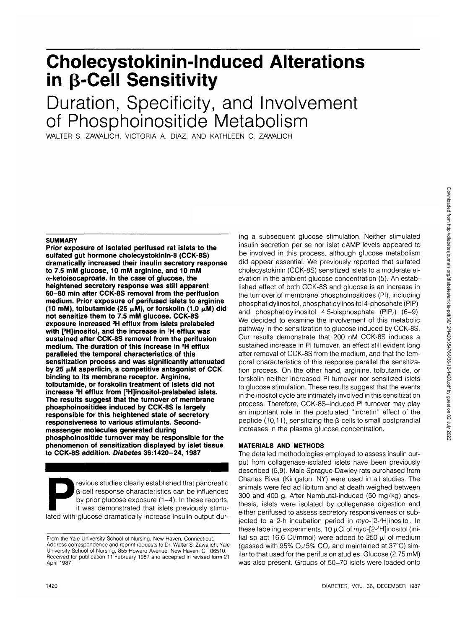# **Cholecystokinin-lnduced Alterations in p-Cell Sensitivity**

# Duration, Specificity, and Involvement of Phosphoinositide Metabolism

WALTER S. ZAWALICH, VICTORIA A. DIAZ, AND KATHLEEN C. ZAWALICH

### **SUMMARY**

Prior exposure of isolated perifused rat islets to the **sulfated gut hormone cholecystokinin-8 (CCK-8S) dramatically increased their insulin secretory response to 7.5 mM glucose, 10 mM arginine, and 10 mM a-ketoisocaproate. In the case of glucose, the heightened secretory response was still apparent 60-80 min after CCK-8S removal from the perifusion medium. Prior exposure of perifused islets to arginine (10 mM), tolbutamide (25 \xM), or forskolin (1.0 ^M) did not sensitize them to 7.5 mM glucose. CCK-8S exposure increased 3H efflux from islets prelabeled with [3 H]inositol, and the increase in 3H efflux was sustained after CCK-8S removal from the perifusion medium. The duration of this increase in 3H efflux paralleled the temporal characteristics of this sensitization process and was significantly attenuated** by 25  $\mu$ M asperlicin, a competitive antagonist of CCK **binding to its membrane receptor. Arginine, tolbutamide, or forskolin treatment of islets did not increase 3H efflux from [3 H]inositol-prelabeled islets. The results suggest that the turnover of membrane phosphoinositides induced by CCK-8S is largely responsible for this heightened state of secretory responsiveness to various stimulants. Secondmessenger molecules generated during phosphoinositide turnover may be responsible for the phenomenon of sensitization displayed by islet tissue to CCK-8S addition. Diabetes 36:1420-24,1987**

Previous studies clearly established that pancreatic<br>
B-cell response characteristics can be influenced<br>
by prior glucose exposure (1–4). In these reports,<br>
it was demonstrated that islets previously stimu-<br>
lated with glu p-cell response characteristics can be influenced by prior glucose exposure  $(1-4)$ . In these reports, it was demonstrated that islets previously stimu-

ing a subsequent glucose stimulation. Neither stimulated insulin secretion per se nor islet cAMP levels appeared to be involved in this process, although glucose metabolism did appear essential. We previously reported that sulfated cholecystokinin (CCK-8S) sensitized islets to a moderate elevation in the ambient glucose concentration (5). An established effect of both CCK-8S and glucose is an increase in the turnover of membrane phosphoinositides (PI), including phosphatidylinositol, phosphatidylinositol 4-phosphate (PIP), and phosphatidylinositol 4,5-bisphosphate  $(PIP<sub>2</sub>)$   $(6-9)$ . We decided to examine the involvement of this metabolic pathway in the sensitization to glucose induced by CCK-8S. Our results demonstrate that 200 nM CCK-8S induces a sustained increase in PI turnover, an effect still evident long after removal of CCK-8S from the medium, and that the temporal characteristics of this response parallel the sensitization process. On the other hand, arginine, tolbutamide, or forskolin neither increased PI turnover nor sensitized islets to glucose stimulation. These results suggest that the events in the inositol cycle are intimately involved in this sensitization process. Therefore, CCK-8S-induced PI turnover may play an important role in the postulated "incretin" effect of the peptide  $(10,11)$ , sensitizing the  $\beta$ -cells to small postprandial increases in the plasma glucose concentration.

### **MATERIALS AND METHODS**

The detailed methodologies employed to assess insulin output from collagenase-isolated islets have been previously described (5,9). Male Sprague-Dawley rats purchased from Charles River (Kingston, NY) were used in all studies. The animals were fed ad libitum and at death weighed between 300 and 400 g. After Nembutal-induced (50 mg/kg) anesthesia, islets were isolated by collegenase digestion and either perifused to assess secretory responsiveness or subjected to a 2-h incubation period in  $myo$ -[2-3H]inositol. In these labeling experiments, 10  $\mu$ Ci of  $m$ yo-[2-3H]inositol (initial sp act 16.6 Ci/mmol) were added to 250  $\mu$ l of medium (gassed with 95%  $O<sub>2</sub>/5% CO<sub>2</sub>$  and maintained at 37°C) similar to that used for the perifusion studies. Glucose (2.75 mM) was also present. Groups of 50-70 islets were loaded onto

From the Yale University School of Nursing, New Haven, Connecticut. Address correspondence and reprint requests to Dr. Walter S. Zawalich, Yale University School of Nursing, 855 Howard Avenue, New Haven, CT 06510. Received for publication 11 February 1987 and accepted in revised form 21 April 1987.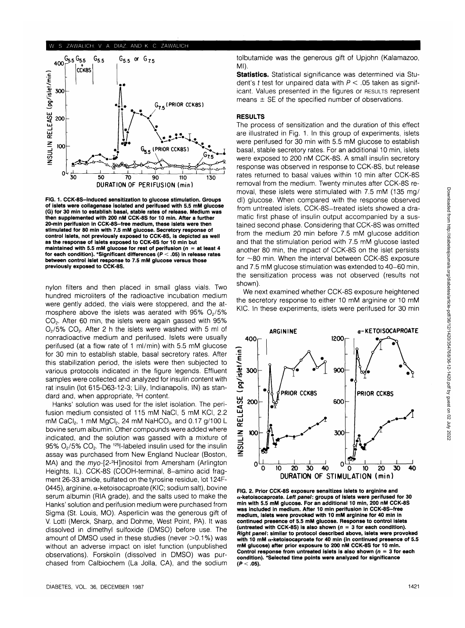

**FIG. 1. CCK-8S-induced sensitization to glucose stimulation. Groups of islets were collagenase isolated and perifused with 5.5 mM glucose (G) for 30 min to establish basal, stable rates of release. Medium was then supplemented with 200 nM CCK-8S for 10 min. After a further 20-min perifusion in CCK-8S-free medium, these islets were then stimulated for 80 min with 7.5 mM glucose. Secretory response of control islets, not previously exposed to CCK-8S, is depicted as well as the response of islets exposed to CCK-8S for 10 min but maintained with 5.5 mM glucose for rest of perifusion (n = at least 4 for each condition). 'Significant differences (P < .05) in release rates between control islet response to 7.5 mM glucose versus those previously exposed to CCK-8S.**

nylon filters and then placed in small glass vials. Two hundred microliters of the radioactive incubation medium were gently added, the vials were stoppered, and the atmosphere above the islets was aerated with  $95\%$  O<sub>2</sub>/5% CO2. After 60 min, the islets were again gassed with 95%  $O<sub>2</sub>/5\%$  CO<sub>2</sub>. After 2 h the islets were washed with 5 ml of nonradioactive medium and perifused. Islets were usually perifused (at a flow rate of 1 ml/min) with 5.5 mM glucose for 30 min to establish stable, basal secretory rates. After this stabilization period, the islets were then subjected to various protocols indicated in the figure legends. Effluent samples were collected and analyzed for insulin content with rat insulin (lot 615-D63-12-3; Lilly, Indianapolis, IN) as standard and, when appropriate, <sup>3</sup>H content.

Hanks' solution was used for the islet isolation. The perifusion medium consisted of 115 mM NaCI, 5 mM KCI, 2.2 mM CaCI<sub>2</sub>, 1 mM MgCI<sub>2</sub>, 24 mM NaHCO<sub>3</sub>, and 0.17 g/100 L bovine serum albumin. Other compounds were added where indicated, and the solution was gassed with a mixture of 95%  $O<sub>2</sub>/5$ %  $CO<sub>2</sub>$ . The <sup>125</sup>l-labeled insulin used for the insulin assay was purchased from New England Nuclear (Boston, MA) and the myo-[2-<sup>3</sup>H]inositol from Amersham (Arlington Heights, IL). CCK-8S (COOH-terminal, 8-amino acid fragment 26-33 amide, sulfated on the tyrosine residue, lot 124F-0445), arginine,  $\alpha$ -ketoisocaproate (KIC; sodium salt), bovine serum albumin (RIA grade), and the salts used to make the Hanks' solution and perifusion medium were purchased from Sigma (St. Louis, MO). Asperlicin was the generous gift of V. Lotti (Merck, Sharp, and Dohme, West Point, PA). It was dissolved in dimethyl sulfoxide (DMSO) before use. The amount of DMSO used in these studies (never  $>0.1\%$ ) was without an adverse impact on islet function (unpublished observations). Forskolin (dissolved in DMSO) was purchased from Calbiochem (La Jolla, CA), and the sodium tolbutamide was the generous gift of Upjohn (Kalamazoo, MI)

**Statistics.** Statistical significance was determined via Student's t test for unpaired data with  $P < 0.05$  taken as significant. Values presented in the figures or RESULTS represent means  $\pm$  SE of the specified number of observations.

#### **RESULTS**

The process of sensitization and the duration of this effect are illustrated in Fig. 1. In this group of experiments, islets were perifused for 30 min with 5.5 mM glucose to establish basal, stable secretory rates. For an additional 10 min, islets were exposed to 200 nM CCK-8S. A small insulin secretory response was observed in response to CCK-8S, but release rates returned to basal values within 10 min after CCK-8S removal from the medium. Twenty minutes after CCK-8S removal, these islets were stimulated with 7.5 mM (135 mg/ dl) glucose. When compared with the response observed from untreated islets, CCK-8S-treated islets showed a dramatic first phase of insulin output accompanied by a sustained second phase. Considering that CCK-8S was omitted from the medium 20 min before 7.5 mM glucose addition and that the stimulation period with 7.5 mM glucose lasted another 80 min, the impact of CCK-8S on the islet persists for ~80 min. When the interval between CCK-8S exposure and 7.5 mM glucose stimulation was extended to 40-60 min, the sensitization process was not observed (results not shown).

We next examined whether CCK-8S exposure heightened the secretory response to either 10 mM arginine or 10 mM KIC. In these experiments, islets were perifused for 30 min



**FIG. 2. Prior CCK-8S exposure sensitizes islets to arginine and a-ketoisocaproate. Left panel: groups of islets were perifused for 30 min with 5.5 mM glucose. For an additional 10 min, 200 nM CCK-8S was included in medium. After 10 min perifusion in CCK-8S-free medium, islets were provoked with 10 mM arginine for 40 min in continued presence of 5.5 mM glucose. Response to control islets** (untreated with CCK-8S) is also shown  $(n = 3$  for each condition). **Right panel: similar to protocol described above, islets were provoked with 10 mM a-ketoisocaproate for 40 min (in continued presence of 5.5 mM glucose) after prior exposure to 200 nM CCK-8S for 10 min. Control response from untreated islets is also shown (n = 3 for each condition). 'Selected time points were analyzed for significance (P < .05).**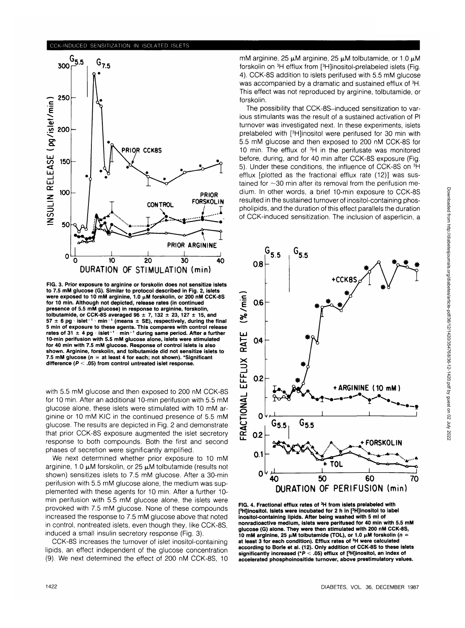## CCK-INDUCED SENSITIZATION IN ISOLATED ISLETS



**FIG. 3. Prior exposure to arginine or forskolin does not sensitize islets to 7.5 mM glucose (G). Similar to protocol described in Fig. 2, islets** were exposed to 10 mM arginine, 1.0  $\mu$ M forskolin, or 200 nM CCK-8S **for 10 min. Although not depicted, release rates (in continued presence of 5.5 mM glucose) in response to arginine, forskolin, tolbutamide, or CCK-8S averaged**  $96 \pm 7$ **, 132**  $\pm$  **23, 127**  $\pm$  **15, and**  $57 \pm 6$  pg  $\cdot$  islet<sup>-1</sup>  $\cdot$  min<sup>-1</sup> (means  $\pm$  SE), respectively, during the final **5 min of exposure to these agents. This compares with control release** rates of 31  $\pm$  4 pg  $\cdot$  islet<sup>-1</sup>  $\cdot$  min<sup>-1</sup> during same period. After a further **10-min perifusion with 5.5 mM glucose alone, islets were stimulated for 40 min with 7.5 mM glucose. Response of control islets is also shown. Arginine, forskolin, and tolbutamide did not sensitize islets to 7.5 mM glucose (n = at least 4 for each; not shown). 'Significant difference (P < .05) from control untreated islet response.**

with 5.5 mM glucose and then exposed to 200 nM CCK-8S for 10 min. After an additional 10-min perifusion with 5.5 mM glucose alone, these islets were stimulated with 10 mM arginine or 10 mM KIC in the continued presence of 5.5 mM glucose. The results are depicted in Fig. 2 and demonstrate that prior CCK-8S exposure augmented the islet secretory response to both compounds. Both the first and second phases of secretion were significantly amplified.

We next determined whether prior exposure to 10 mM arginine, 1.0  $\mu$ M forskolin, or 25  $\mu$ M tolbutamide (results not shown) sensitizes islets to 7.5 mM glucose. After a 30-min perifusion with 5.5 mM glucose alone, the medium was supplemented with these agents for 10 min. After a further 10 min perifusion with 5.5 mM glucose alone, the islets were provoked with 7.5 mM glucose. None of these compounds increased the response to 7.5 mM glucose above that noted in control, nontreated islets, even though they, like CCK-8S, induced a small insulin secretory response (Fig. 3).

CCK-8S increases the turnover of islet inositol-containing lipids, an effect independent of the glucose concentration (9). We next determined the effect of 200 nM CCK-8S, 10 mM arginine,  $25 \mu$ M arginine,  $25 \mu$ M tolbutamide, or 1.0  $\mu$ M forskolin on <sup>3</sup>H efflux from [<sup>3</sup>H]inositol-prelabeled islets (Fig. 4). CCK-8S addition to islets perifused with 5.5 mM glucose was accompanied by a dramatic and sustained efflux of <sup>3</sup>H. This effect was not reproduced by arginine, tolbutamide, or forskolin.

The possibility that CCK-8S-induced sensitization to various stimulants was the result of a sustained activation of PI turnover was investigated next. In these experiments, islets prelabeled with [<sup>3</sup>H]inositol were perifused for 30 min with 5.5 mM glucose and then exposed to 200 nM CCK-8S for 10 min. The efflux of <sup>3</sup>H in the perifusate was monitored before, during, and for 40 min after CCK-8S exposure (Fig. 5). Under these conditions, the influence of CCK-8S on 3H efflux [plotted as the fractional efflux rate (12)] was sustained for  $\sim$ 30 min after its removal from the perifusion medium. In other words, a brief 10-min exposure to CCK-8S resulted in the sustained turnover of inositol-containing phospholipids, and the duration of this effect parallels the duration of CCK-induced sensitization. The inclusion of asperlicin, a



**FIG. 4. Fractional efflux rates of 3H from islets prelabeled with pH]inositol. Islets were incubated for 2 h in [3 H]inositol to label inositol-containing lipids. After being washed with 5 ml of nonradioactive medium, islets were perifused for 40 min with 5.5 mM glucose (G) alone. They were then stimulated with 200 nM CCK-8S, 10 mM arginine, 25 μM tolbutamide (TOL), or 1.0 μM forskolin (n = at least 3 for each condition). Efflux rates of 3H were calculated according to Borle et al. (12). Only addition of CCK-8S to these islets** significantly increased ( $P < .05$ ) efflux of [<sup>3</sup>H]inositol, an index of **accelerated phosphoinositide turnover, above prestimulatory values.**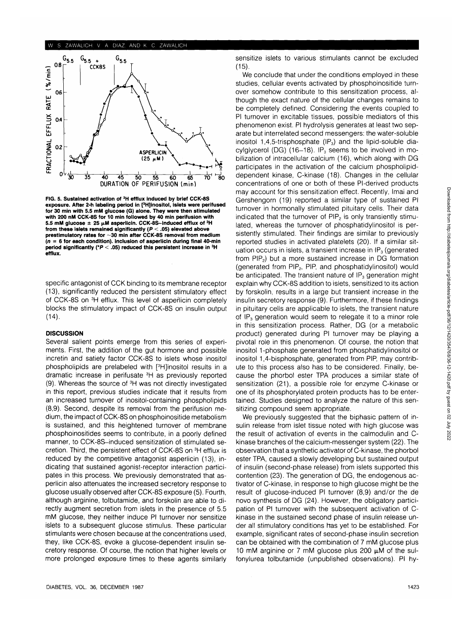## W. S. ZAWALICH, V. A. DIAZ, AND K. C. ZAWALICH



**FIG. 5. Sustained activation of 3H efflux induced by brief CCK-8S** exposure. After 2-h labeling period in [<sup>3</sup>H]inositol, islets were perifused **for 30 min with 5.5 mM glucose (G) alone. They were then stimulated with 200 nM CCK-8S for 10 min followed by 40 min perifusion with** 5.5 mM glucose  $\pm 25 \mu$ M asperlicin. CCK-8S-induced efflux of <sup>3</sup>H **from these islets remained significantly (P < .05) elevated above prestimulatory rates for -30 min after CCK-8S removal from medium (n = 6 for each condition). Inclusion of asperlicin during final 40-min period significantly (\*P < .05) reduced this persistent increase in 3H efflux.**

specific antagonist of CCK binding to its membrane receptor (13), significantly reduced the persistent stimulatory effect of CCK-8S on 3H efflux. This level of asperlicin completely blocks the stimulatory impact of CCK-8S on insulin output (14).

## **DISCUSSION**

Several salient points emerge from this series of experiments. First, the addition of the gut hormone and possible incretin and satiety factor CCK-8S to islets whose inositol phospholipids are prelabeled with [3 H]inositol results in a dramatic increase in perifusate 3H as previously reported (9). Whereas the source of <sup>3</sup>H was not directly investigated in this report, previous studies indicate that it results from an increased turnover of inositol-containing phospholipids (8,9). Second, despite its removal from the perifusion medium, the impact of CCK-8S on phosphoinositide metabolism is sustained, and this heightened turnover of membrane phosphoinositides seems to contribute, in a poorly defined manner, to CCK-8S-induced sensitization of stimulated secretion. Third, the persistent effect of CCK-8S on 3H efflux is reduced by the competitive antagonist asperlicin (13), indicating that sustained agonist-receptor interaction participates in this process. We previously demonstrated that asperlicin also attenuates the increased secretory response to glucose usually observed after CCK-8S exposure (5). Fourth, although arginine, tolbutamide, and forskolin are able to directly augment secretion from islets in the presence of 5.5 mM glucose, they neither induce PI turnover nor sensitize islets to a subsequent glucose stimulus. These particular stimulants were chosen because at the concentrations used, they, like CCK-8S, evoke a glucose-dependent insulin secretory response. Of course, the notion that higher levels or more prolonged exposure times to these agents similarly

sensitize islets to various stimulants cannot be excluded (15).

We conclude that under the conditions employed in these studies, cellular events activated by phosphoinositide turnover somehow contribute to this sensitization process, although the exact nature of the cellular changes remains to be completely defined. Considering the events coupled to PI turnover in excitable tissues, possible mediators of this phenomenon exist. PI hydrolysis generates at least two separate but interrelated second messengers: the water-soluble inositol 1,4,5-trisphosphate (IP<sub>3</sub>) and the lipid-soluble diacylglycerol (DG) (16-18). IP<sub>3</sub> seems to be involved in mobilization of intracellular calcium (16), which along with DG participates in the activation of the calcium phospholipiddependent kinase, C-kinase (18). Changes in the cellular concentrations of one or both of these Pl-derived products may account for this sensitization effect. Recently, Imai and Gershengorn (19) reported a similar type of sustained PI turnover in hormonally stimulated pituitary cells. Their data indicated that the turnover of PIP<sub>2</sub> is only transiently stimulated, whereas the turnover of phosphatidylinositol is persistently stimulated. Their findings are similar to previously reported studies in activated platelets (20). If a similar situation occurs in islets, a transient increase in  $IP<sub>3</sub>$  (generated from PIP<sub>2</sub>) but a more sustained increase in DG formation (generated from PIP<sub>2</sub>, PIP, and phosphatidylinositol) would be anticipated. The transient nature of  $IP<sub>3</sub>$  generation might explain why CCK-8S addition to islets, sensitized to its action by forskolin, results in a large but transient increase in the insulin secretory response (9). Furthermore, if these findings in pituitary cells are applicable to islets, the transient nature of  $IP<sub>3</sub>$  generation would seem to relegate it to a minor role in this sensitization process. Rather, DG (or a metabolic product) generated during PI turnover may be playing a pivotal role in this phenomenon. Of course, the notion that inositol 1-phosphate generated from phosphatidylinositol or inositol 1,4-bisphosphate, generated from PIP, may contribute to this process also has to be considered. Finally, because the phorbol ester TPA produces a similar state of sensitization (21), a possible role for enzyme C-kinase or one of its phosphorylated protein products has to be entertained. Studies designed to analyze the nature of this sensitizing compound seem appropriate.

We previously suggested that the biphasic pattern of insulin release from islet tissue noted with high glucose was the result of activation of events in the calmodulin and Ckinase branches of the calcium-messenger system (22). The observation that a synthetic activator of C-kinase, the phorbol ester TPA, caused a slowly developing but sustained output of insulin (second-phase release) from islets supported this contention (23). The generation of DG, the endogenous activator of C-kinase, in response to high glucose might be the result of glucose-induced PI turnover (8,9) and/or the de novo synthesis of DG (24). However, the obligatory participation of PI turnover with the subsequent activation of Ckinase in the sustained second phase of insulin release under all stimulatory conditions has yet to be established. For example, significant rates of second-phase insulin secretion can be obtained with the combination of 7 mM glucose plus 10 mM arginine or 7 mM glucose plus 200  $\mu$ M of the sulfonylurea tolbutamide (unpublished observations). PI hy-